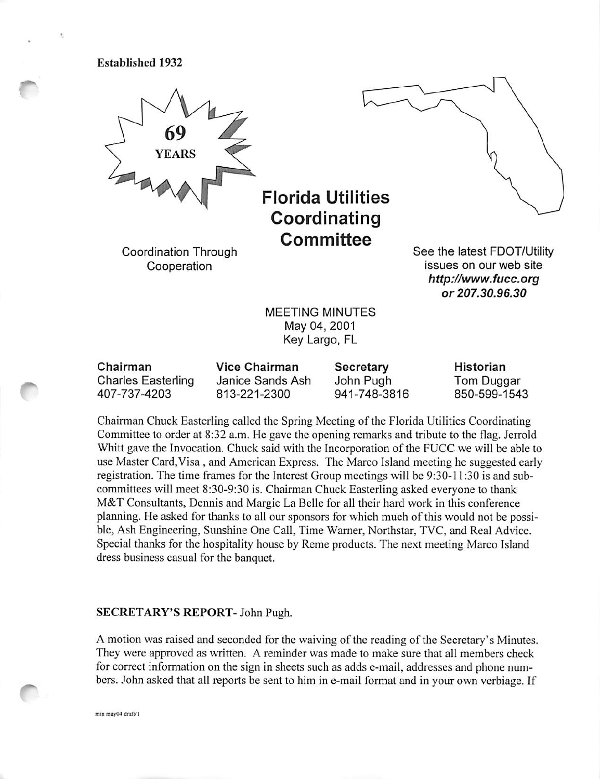Established 1932



Florida Utilities Coordinating **Committee** 

Coordination Through Cooperation



See the latest FDOT/Utillty issues on our web site http://www.fucc.org or 207.30.96.30

MEETING MINUTES May 04, 2001 Key Largo, FL

| Chairman                  | Vice Chairman    | Secretary    | Historian    |
|---------------------------|------------------|--------------|--------------|
| <b>Charles Easterling</b> | Janice Sands Ash | John Pugh    | Tom Duggar   |
| 407-737-4203              | 813-221-2300     | 941-748-3816 | 850-599-1543 |

Chairman Chuck Easterling called the Spring Meeting of the Florida Utilities Coordinating Committee to order at 8:32 a.m. He gave the opening remarks and tribute to the flag. Jerrold Whitt gave the Invocation. Chuck said with the Incorporation of the FUCC we will be able to use Master Card,Visa , and American Express. The Marco Island meeting he suggested early registration. The time frames for the Interest Group meetings will be 9:30-11:30 is and sub committees will meet 8:30-9:30 is. Chairman Chuck Easterling asked everyone to thank M&T Consultants, Dennis and Margie La Belle for all their hard work in this conference planning. He asked for thanks to all our sponsors for which much of this would not be possi ble, Ash Engineering, Sunshine One Call, Time Warner, Northstar, TVC, and Real Advice. Special thanks for the hospitality house by Reme products. The next meeting Marco Island dress business casual for the banquet.

#### SECRETARY'S REPORT- John Pugh.

A motion was raised and seconded for the waiving of the reading of the Secretary's Minutes. They were approved as written. A reminder was made to make sure that all members check for correct information on the sign in sheets such as adds e-mail, addresses and phone num bers. John asked that all reports be sent to him in e-mail format and in your own verbiage. If

min may04 draft/1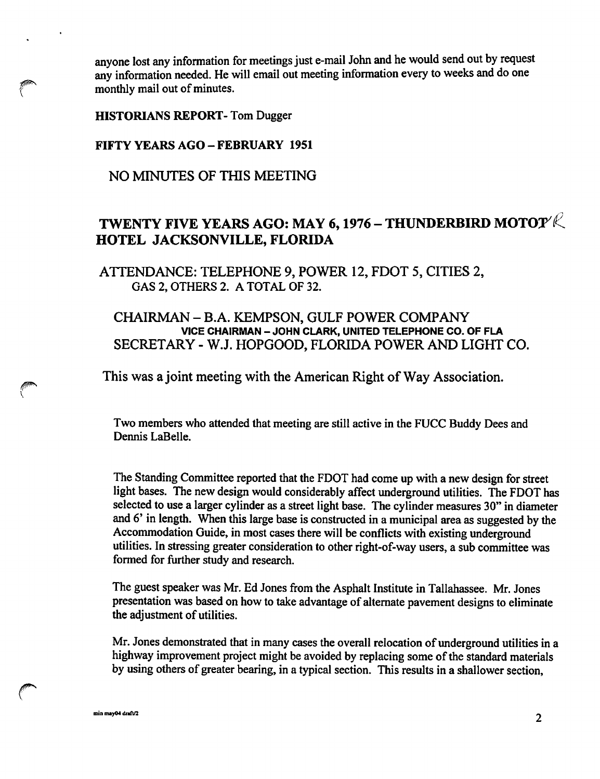anyone lost any information for meetings just e-mail John and he would send out by request any information needed. He will email out meeting information every to weeks and do one any one lost any information redefined.<br>
any information needed. He w<br>
monthly mail out of minutes.

HISTORIANS REPORT- Tom Dugger

# FIFTY YEARS AGO-FEBRUARY 1951

NO MINUTES OF THIS MEETING

# TWENTY FIVE YEARS AGO: MAY 6, 1976 – THUNDERBIRD MOTO $\mathcal{P}\mathcal{R}^{\mathcal{P}}$ HOTEL JACKSONVILLE, FLORIDA

ATTENDANCE: TELEPHONE 9, POWER 12, FOOT 5, CITIES 2, GAS 2, OTHERS 2. A TOTAL OF 32.

CHAIRMAN - B.A. KEMPSON, GULF POWER COMPANY VICE CHAIRMAN - JOHN CLARK, UNITED TELEPHONE CO. OF FLA SECRETARY - W.J. HOPGOOD, FLORIDA POWER AND LIGHT CO.

This was a joint meeting with the American Right of Way Association.

Two members who attended that meeting are still active in the FUCC Buddy Dees and Dennis LaBelle.

The Standing Committee reported that the FDOT had come up with a new design for street light bases. The new design would considerably affect underground utilities. The FDOT has selected to use a larger cylinder as a street light base. The cylinder measures 30" in diameter and 6' in length. When this large base is constructed in a municipal area as suggested by the Accommodation Guide, in most cases there will be conflicts with existing underground utilities. In stressing greater consideration to other right-of-way users, a sub committee was formed for further study and research.

The guest speaker was Mr. Ed Jones from the Asphalt Institute in Tallahassee. Mr. Jones presentation was based on how to take advantage of alternate pavement designs to eliminate the adjustment of utilities.

Mr. Jones demonstrated that in many cases the overall relocation of underground utilities in a highway improvement project might be avoided by replacing some of the standard materials by using others of greater bearing, in a typical section. This results in a shallower section,

\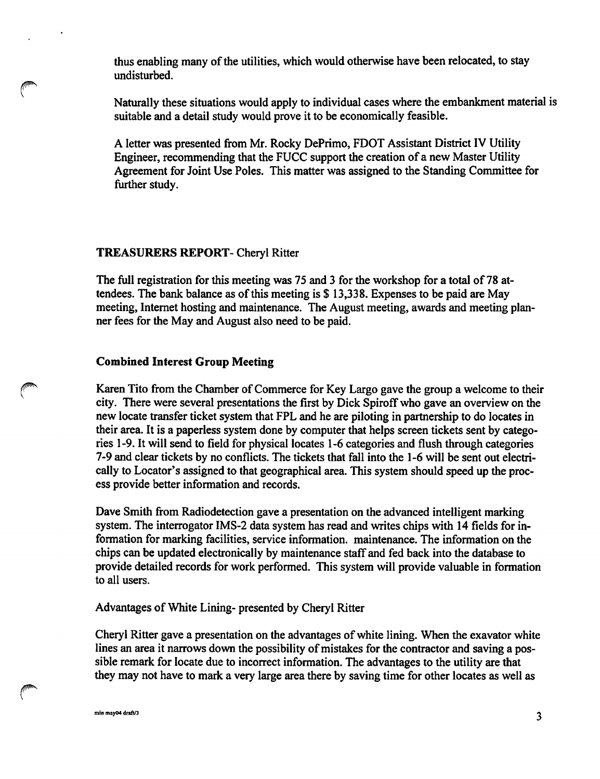thus enabling many of the utilities, which would otherwise have been relocated, to stay undisturbed.

Naturally these situations would apply to individual cases where the embankment material is suitable and a detail study would prove it to be economically feasible.

A letter was presented from Mr. Rocky DePrimo, FDOT Assistant District IV Utility Engineer, recommending that the FUCC support the creation of a new Master Utility Agreement for Joint Use Poles. This matter was assigned to the Standing Committee for further study.

### TREASURERS REPORT- Cheryl Ritter

The full registration for this meeting was 75 and 3 for the workshop for a total of 78 at tendees. The bank balance as of this meeting is \$ 13,338. Expenses to be paid are May meeting, Internet hosting and maintenance. The August meeting, awards and meeting plan ner fees for the May and August also need to be paid.

### Combined Interest Group Meeting

Karen Tito from the Chamber of Commerce for Key Largo gave the group a welcome to their city. There were several presentations the first by Dick Spiroff who gave an overview on the new locate transfer ticket system that FPL and he are piloting in partnership to do locates in their area. It is a paperless system done by computer that helps screen tickets sent by catego ries 1-9. It will send to field for physical locates 1-6 categories and flush through categories 7-9 and clear tickets by no conflicts. The tickets that fall into the 1-6 will be sent out electri cally to Locator's assigned to that geographical area. This system should speed up the proc ess provide better information and records.

Dave Smith from Radiodetection gave a presentation on the advanced intelligent marking system. The interrogator lMS-2 data system has read and writes chips with 14 fields for in formation for marking facilities, service information, maintenance. The information on the chips can be updated electronically by maintenance staff and fed back into the database to provide detailed records for work performed. This system will provide valuable in formation to all users.

### Advantages of White Lining- presented by Cheryl Ritter

Cheryl Ritter gave a presentation on the advantages of white lining. When the exavator white lines an area it narrows down the possibility of mistakes for the contractor and saving a pos sible remark for locate due to incorrect information. The advantages to the utility are that they may not have to mark a very large area there by saving time for other locates as well as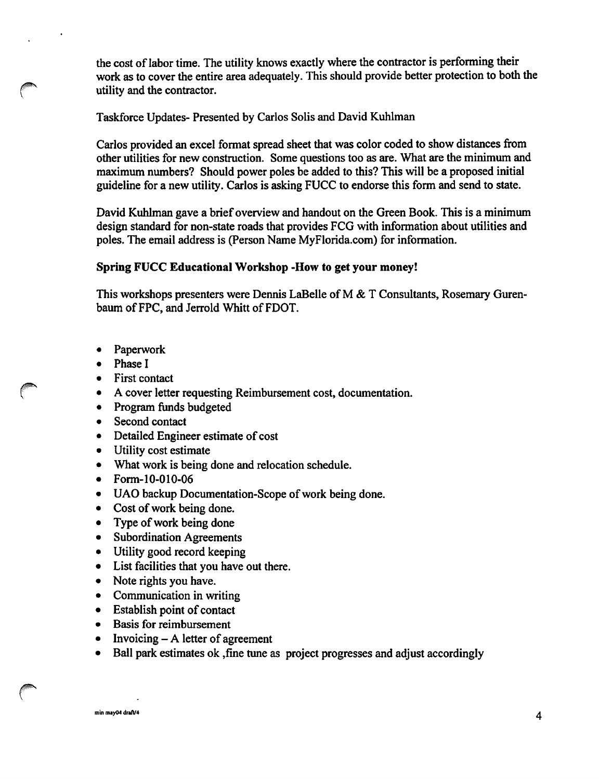the cost of labor time. The utility knows exactly where the contractor is performing their work as to cover the entire area adequately. This should provide better protection to both the utility and the contractor.

Taskforce Updates- Presented by Carlos Soils and David Kuhlman

Carlos provided an excel format spread sheet that was color coded to show distances from other utilities for new construction. Some questions too as are. What are the minimum and maximum numbers? Should power poles be added to this? This will be a proposed initial guideline for a new utility. Carlos is asking FUCC to endorse this form and send to state.

David Kuhlman gave a brief overview and handout on the Green Book. This is a minimum design standard for non-state roads that provides FCG with information about utilities and poles. The email address is (Person Name MyFlorida.com) for information.

# Spring FUCC Educational Workshop -How to get your money!

This workshops presenters were Dennis LaBelle of M & T Consultants, Rosemary Gurenbaum of FPC, and Jerrold Whitt of FDOT.

- Paperwork
- Phase I
- First contact
- A cover letter requesting Reimbursement cost, documentation.
- Program funds budgeted  $\bullet$
- Second contact
- Detailed Engineer estimate of cost
- Utility cost estimate  $\bullet$
- $\bullet$ What work is being done and relocation schedule.
- Form-10-010-06
- UAO backup Documentation-Scope of work being done.
- Cost of work being done.
- Type of work being done  $\bullet$
- Subordination Agreements  $\bullet$
- Utility good record keeping
- List facilities that you have out there.
- $\bullet$ Note rights you have.
- Communication in writing
- Establish point of contact  $\bullet$
- Basis for reimbursement
- $Invoicing A letter of agreement$  $\bullet$
- Ball park estimates ok, fine tune as project progresses and adjust accordingly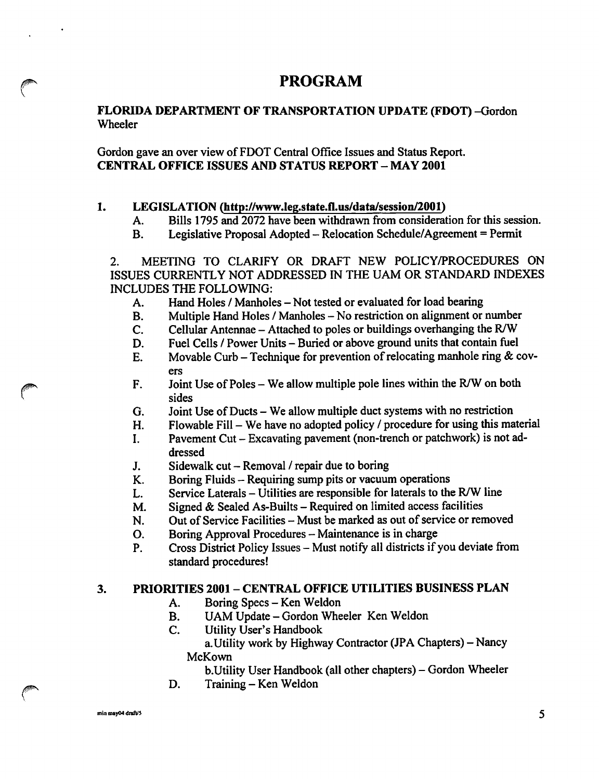# PROGRAM

# FLORIDA DEPARTMENT OF TRANSPORTATION UPDATE (FDOT) -Gordon Wheeler

Gordon gave an over view of FDOT Central Office Issues and Status Report. CENTRAL OFFICE ISSUES AND STATUS REPORT - MAY 2001

# 1. LEGISLATION (http://www.leg.state.fl.us/data/session/2001)

- A. Bills 1795 and 2072 have been withdrawn from consideration for this session.<br>B. Legislative Proposal Adopted Relocation Schedule/Agreement = Permit
- B. Legislative Proposal Adopted Relocation Schedule/Agreement = Permit

2. MEETING TO CLARIFY OR DRAFT NEW POLICY/PROCEDURES ON ISSUES CURRENTLY NOT ADDRESSED IN THE UAM OR STANDARD INDEXES INCLUDES THE FOLLOWING:

- A. Hand Holes / Manholes Not tested or evaluated for load bearing<br>B. Multiple Hand Holes / Manholes No restriction on alignment or
- B. Multiple Hand Holes / Manholes No restriction on alignment or number<br>C. Cellular Antennae Attached to poles or buildings overhanging the R/W
- C. Cellular Antennae Attached to poles or buildings overhanging the R/W<br>D. Fuel Cells / Power Units Buried or above ground units that contain fuel
- 
- D. Fuel Cells / Power Units Buried or above ground units that contain fuel E. Movable Curb Technique for prevention of relocating manhole ring & c Movable Curb - Technique for prevention of relocating manhole ring  $\&$  covers
- F. Joint Use of Poles We allow multiple pole lines within the R/W on both sides
- 
- G. Joint Use of Ducts We allow multiple duct systems with no restriction H. Flowable Fill We have no adopted policy / procedure for using this ma
- H. Flowable Fill We have no adopted policy / procedure for using this material I. Pavement Cut Excavating pavement (non-trench or patchwork) is not ad-Pavement Cut - Excavating pavement (non-trench or patchwork) is not addressed
- 
- J. Sidewalk cut Removal / repair due to boring<br>K. Boring Fluids Requiring sump pits or vacuum
- K. Boring Fluids Requiring sump pits or vacuum operations<br>L. Service Laterals Utilities are responsible for laterals to the
- L. Service Laterals Utilities are responsible for laterals to the R/W line M. Signed  $\&$  Sealed As-Builts Required on limited access facilities

M. Signed & Sealed As-Builts – Required on limited access facilities<br>N. Out of Service Facilities – Must be marked as out of service or ren N. Out of Service Facilities – Must be marked as out of service or removed<br>O. Boring Approval Procedures – Maintenance is in charge

- 
- O. Boring Approval Procedures Maintenance is in charge<br>P. Cross District Policy Issues Must notify all districts if Cross District Policy Issues - Must notify all districts if you deviate from standard procedures!

# 3. PRIORITIES 2001 - CENTRAL OFFICE UTILITIES BUSINESS PLAN

- A. Boring Specs Ken Weldon<br>B. UAM Update Gordon Whe
- B. UAM Update Gordon Wheeler Ken Weldon<br>C. Utility User's Handbook
- **Utility User's Handbook** 
	- a. Utility work by Highway Contractor (JPA Chapters) Nancy McKown

b. Utility User Handbook (all other chapters) - Gordon Wheeler

D. Training – Ken Weldon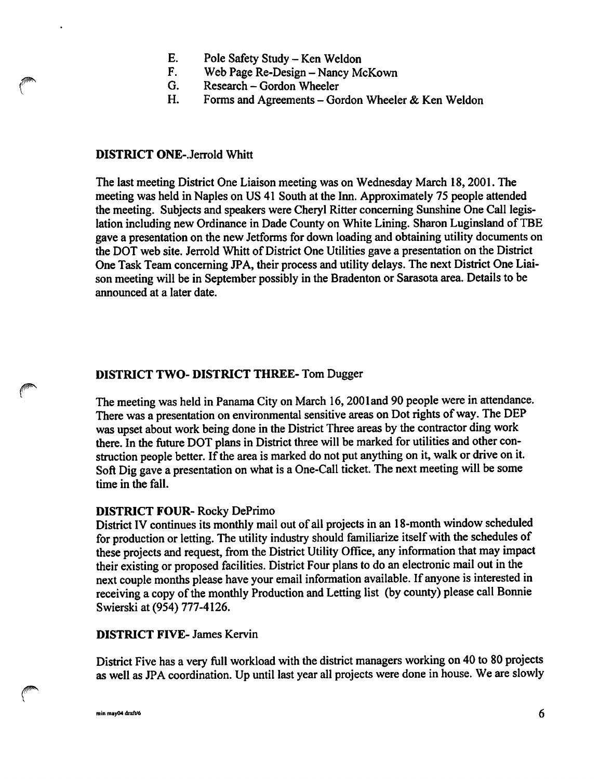- E. Pole Safety Study Ken Weldon<br>F. Web Page Re-Design Nancy M
- F. Web Page Re-Design Nancy McKown<br>G. Research Gordon Wheeler
- G. Research Gordon Wheeler<br>H. Forms and Agreements Go
- Forms and Agreements Gordon Wheeler & Ken Weldon

### DISTRICT ONE-.Jerrold Whitt

The last meeting District One Liaison meeting was on Wednesday March 18,2001. The meeting was held in Naples on US 41 South at the Inn. Approximately 75 people attended the meeting. Subjects and speakers were Cheryl Ritter concerning Sunshine One Call legis lation including new Ordinance in Dade County on White Lining. Sharon Luginsland of TBE gave a presentation on the new Jetforms for down loading and obtaining utility documents on the DOT web site. Jerrold Whitt of District One Utilities gave a presentation on the District One Task Team concerning JPA, their process and utility delays. The next District One Liai son meeting will be in September possibly in the Bradenton or Sarasota area. Details to be announced at a later date.

# DISTRICT TWO- DISTRICT THREE- Tom Dugger

The meeting was held in Panama City on March 16,200land 90 people were in attendance. There was a presentation on environmental sensitive areas on Dot rights of way. The DEP was upset about work being done in the District Three areas by the contractor ding work there. In the future DOT plans in District three will be marked for utilities and other con struction people better. If the area is marked do not put anything on it, walk or drive on it. Soft Dig gave a presentation on what is a One-Call ticket. The next meeting will be some time in the fall.

### DISTRICT FOUR- Rocky DePrimo

District IV continues its monthly mail out of all projects in an 18-month window scheduled for production or letting. The utility industry should familiarize itself with the schedules of these projects and request, from the District Utility Office, any information that may impact their existing or proposed facilities. District Four plans to do an electronic mail out in the next couple months please have your email information available. If anyone is interested in receiving a copy of the monthly Production and Letting list (by county) please call Bonnie Swierski at (954) 777-4126.

### DISTRICT FIVE- James Kervin

District Five has a very full workload with the district managers working on 40 to 80 projects as well as JPA coordination. Up until last year all projects were done in house. We are slowly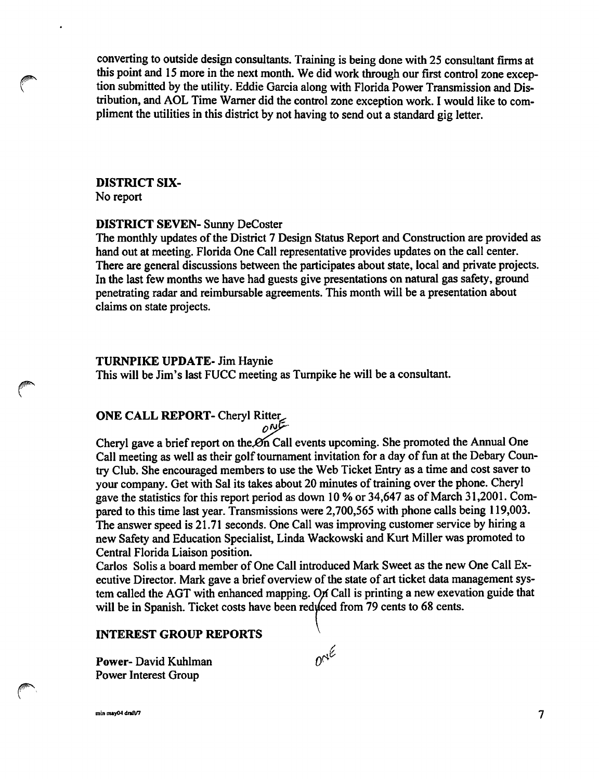converting to outside design consultants. Training is being done with 25 consultant firms at this point and 15 more in the next month. We did work through our first control zone excep tion submitted by the utility. Eddie Garcia along with Florida Power Transmission and Dis tribution, and AOL Time Warner did the control zone exception work. I would like to com pliment the utilities in this district by not having to send out a standard gig letter.

# DISTRICT six-

No report

# DISTRICT SEVEN- Sunny DeCoster

The monthly updates of the District 7 Design Status Report and Construction are provided as hand out at meeting. Florida One Call representative provides updates on the call center. There are general discussions between the participates about state, local and private projects. In the last few months we have had guests give presentations on natural gas safety, ground penetrating radar and reimbursable agreements. This month will be a presentation about claims on state projects.

# TURNPIKE UPDATE- Jim Haynie

This will be Jim's last FUCC meeting as Turnpike he will be a consultant.

# ONE CALL REPORT- Cheryl Ritter<br>مگرمہ

Cheryl gave a brief report on the On Call events upcoming. She promoted the Annual One Call meeting as well as their golf tournament invitation for a day of fun at the Debary Coun try Club. She encouraged members to use the Web Ticket Entry as a time and cost saver to your company. Get with Sal its takes about 20 minutes of training over the phone. Cheryl gave the statistics for this report period as down 10 % or 34,647 as of March 31,2001. Com pared to this time last year. Transmissions were 2,700,565 with phone calls being 119,003. The answer speed is 21.71 seconds. One Call was improving customer service by hiring a new Safety and Education Specialist, Linda Wackowski and Kurt Miller was promoted to Central Florida Liaison position.

Carlos Soils a board member of One Call introduced Mark Sweet as the new One Call Ex ecutive Director. Mark gave a brief overview of the state of art ticket data management sys tem called the AGT with enhanced mapping. On Call is printing a new exevation guide that will be in Spanish. Ticket costs have been reduced from 79 cents to 68 cents.

### INTEREST GROUP REPORTS

Power- David Kuhlman Power Interest Group

min may04 draft/7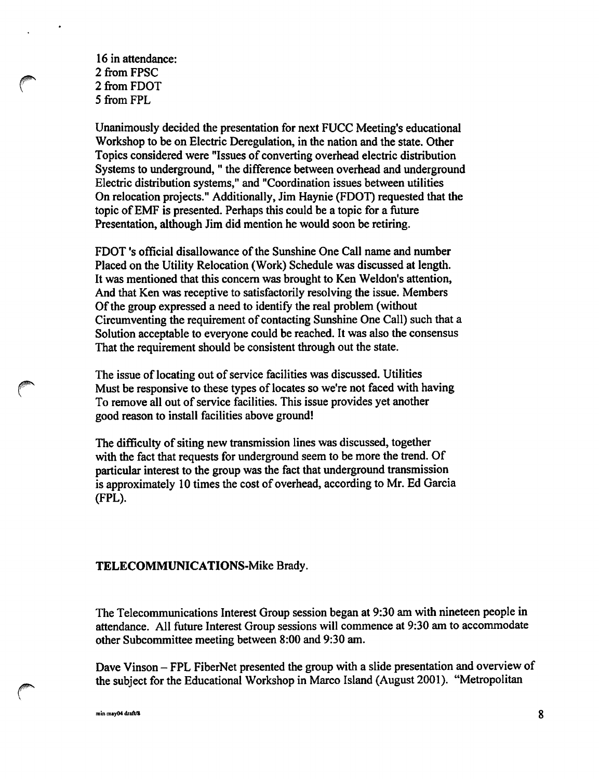16 in attendance: 2 from FPSC 2 from FDOT 5 from FPL

Unanimously decided the presentation for next FUCC Meeting's educational Workshop to be on Electric Deregulation, in the nation and the state. Other Topics considered were "Issues of converting overhead electric distribution Systems to underground, " the difference between overhead and underground Electric distribution systems," and "Coordination issues between utilities On relocation projects." Additionally, Jim Haynie (FOOT) requested that the topic of EMF is presented. Perhaps this could be a topic for a future Presentation, although Jim did mention he would soon be retiring.

FDOT's official disallowance of the Sunshine One Call name and number Placed on the Utility Relocation (Work) Schedule was discussed at length. It was mentioned that this concem was brought to Ken Weldon's attention. And that Ken was receptive to satisfactorily resolving the issue. Members Of the group expressed a need to identify the real problem (without Circumventing the requirement of contacting Sunshine One Call) such that a Solution acceptable to everyone could be reached. It was also the consensus That the requirement should be consistent through out the state.

The issue of locating out of service facilities was discussed. Utilities Must be responsive to these types of locates so we're not faced with having To remove all out of service facilities. This issue provides yet another good reason to install facilities above ground!

The difficulty of siting new transmission lines was discussed, together with the fact that requests for underground seem to be more the trend. Of particular interest to the group was the fact that underground transmission is approximately 10 times the cost of overhead, according to Mr. Ed Garcia (FPL).

#### TELECOMMUNICATIONS-Mike Brady.

The Telecommunications Interest Group session began at 9:30 am with nineteen people in attendance. All future Interest Group sessions will commence at 9:30 am to accommodate other Subcommittee meeting between 8:00 and 9:30 am.

Dave Vinson — FPL FiberNet presented the group with a slide presentation and overview of the subject for the Educational Workshop in Marco Island (August 2001). "Metropolitan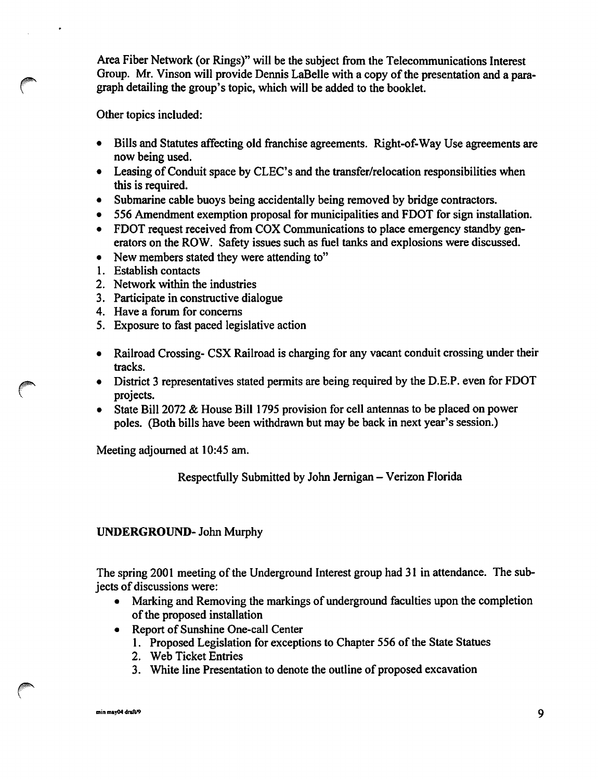Area Fiber Network (or Rings)" will be the subject from the Telecommunications Interest Group. Mr. Vinson will provide Dennis LaBelle with a copy of the presentation and a para graph detailing the group's topic, which will be added to the booklet.

Other topics included:

- Bills and Statutes affecting old franchise agreements. Right-of-Way Use agreements are now being used.
- $\bullet$  Leasing of Conduit space by CLEC's and the transfer/relocation responsibilities when this is required.
- Submarine cable buoys being accidentally being removed by bridge contractors.
- 556 Amendment exemption proposal for municipalities and FDOT for sign installation.
- FDOT request received from COX Communications to place emergency standby gen erators on the ROW. Safety issues such as fuel tanks and explosions were discussed.
- New members stated they were attending to"
- 1. Establish contacts
- 2. Network within the industries
- 3. Participate in constructive dialogue
- 4. Have a forum for concems
- 5. Exposure to fast paced legislative action
- Railroad Crossing- CSX Railroad is charging for any vacant conduit crossing under their tracks.
- District 3 representatives stated permits are being required by the D.E.P. even for FDOT projects.
- State Bill 2072 & House Bill 1795 provision for cell antennas to be placed on power poles. (Both bills have been withdrawn but may be back in next year's session.)

Meeting adjourned at 10:45 am.

Respectfully Submitted by John Jernigan - Verizon Florida

# UNDERGROUND- John Murphy

The spring 2001 meeting of the Underground Interest group had 31 in attendance. The sub jects of discussions were:

- Marking and Removing the markings of underground faculties upon the completion of the proposed installation
- Report of Sunshine One-call Center
	- 1. Proposed Legislation for exceptions to Chapter 556 of the State Statues
	- 2. Web Ticket Entries
	- 3. White line Presentation to denote the outline of proposed excavation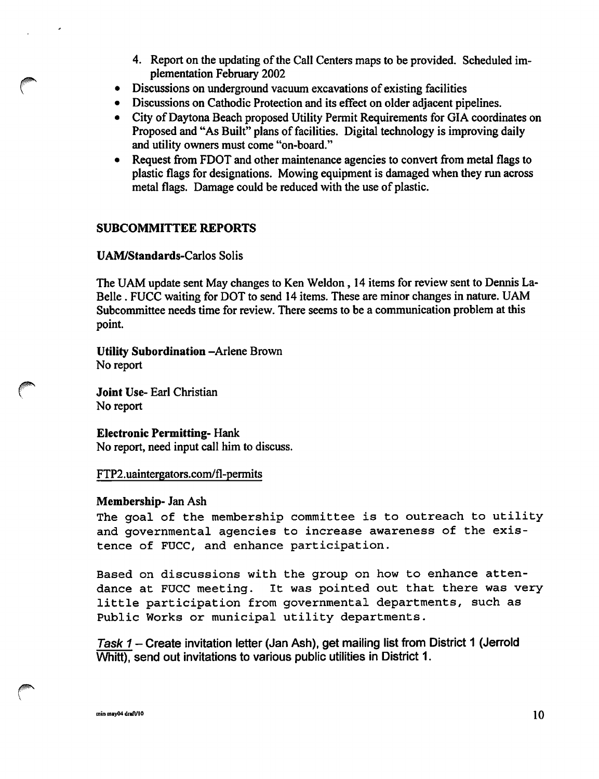- 4. Report on the updating of the Call Centers maps to be provided. Scheduled im plementation February 2002
- Discussions on imderground vacuum excavations of existing facilities  $\bullet$
- Discussions on Cathodic Protection and its effect on older adjacent pipelines.
- City of Daytona Beach proposed Utility Permit Requirements for GIA coordinates on Proposed and "As Built" plans of facilities. Digital technology is improving daily and utility owners must come "on-board."
- Request from FDOT and other maintenance agencies to convert from metal flags to plastic flags for designations. Mowing equipment is damaged when they run across metal flags. Damage could be reduced with the use of plastic.

# SUBCOMMITTEE REPORTS

# UAM/Standards-Carlos Solis

The UAM update sent May changes to Ken Weldon, 14 items for review sent to Dennis La-Belle . FUCC waiting for DOT to send 14 items. These are minor changes in nature. UAM Subcommittee needs time for review. There seems to be a communication problem at this point.

Utility Subordination -Arlene Brown No report

Joint Use- Earl Christian No report

Electronic Permitting- Hank No report, need input call him to discuss.

### FTP2.uaintergators.com/fl-permits

### Membership- Jan Ash

The goal of the membership committee is to outreach to utility and governmental agencies to increase awareness of the exis tence of FUCC, and enhance participation.

Based on discussions with the group on how to enhance atten dance at FUCC meeting. It was pointed out that there was very little participation from governmental departments, such as Public Works or municipal utility departments.

Task 1 – Create invitation letter (Jan Ash), get mailing list from District 1 (Jerrold Whitt), send out invitations to various public utilities in District 1.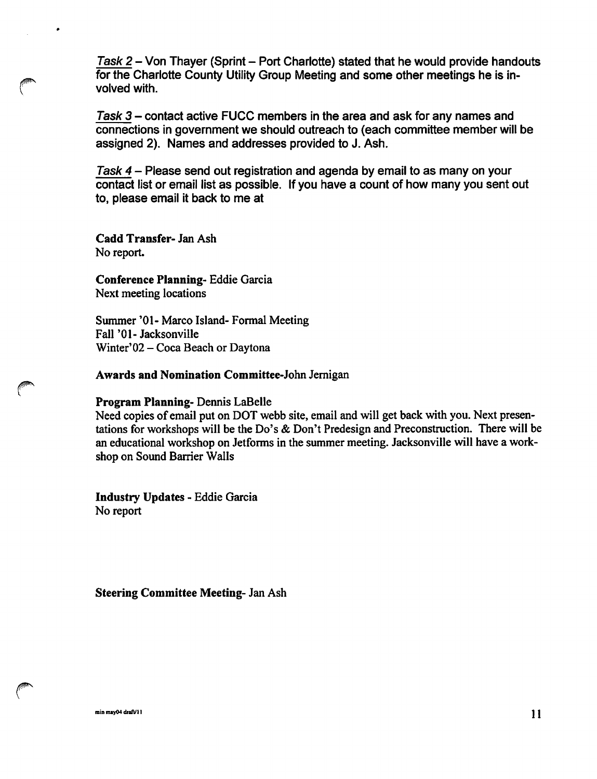Task 2 - Von Thayer (Sprint - Port Charlotte) stated that he would provide handouts for the Charlotte County Utility Group Meeting and some other meetings he is in volved with.

Task  $3$  – contact active FUCC members in the area and ask for any names and connections in government we should outreach to (each committee member will be assigned 2). Names and addresses provided to J. Ash.

Task 4 - Please send out registration and agenda by email to as many on your contact list or email list as possible. If you have a count of how many you sent out to, please email it back to me at

Cadd Transfer- Jan Ash No report.

 $\bullet$ 

Conference Planning- Eddie Garcia Next meeting locations

Summer '01- Marco Island- Formal Meeting Fall '01- Jacksonville Winter'02 - Coca Beach or Daytona

Awards and Nomination Committee-John Jemigan

Program Planning- Dennis LaBelle

Need copies of email put on DOT webb site, email and will get back with you. Next presen tations for workshops will be the Do's & Don't Predesign and Preconstruction. There will be an educational workshop on Jetforms in the summer meeting. Jacksonville will have a work shop on Sound Barrier Walls

Industry Updates - Eddie Garcia No report

Steering Committee Meeting- Jan Ash